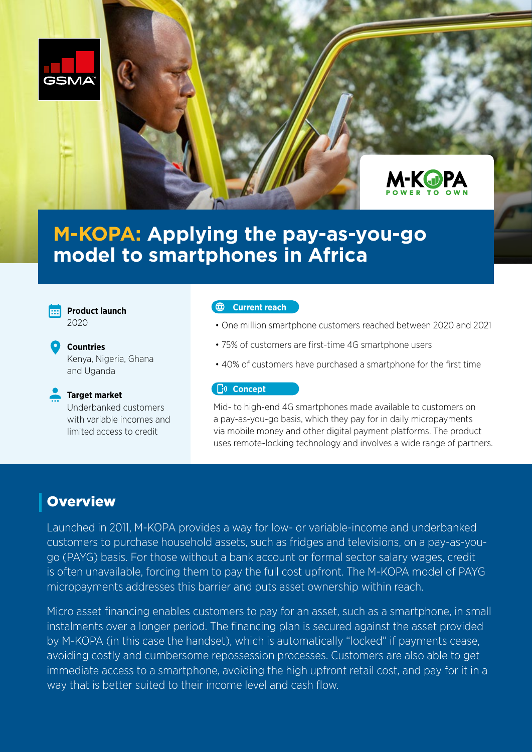



# **M-KOPA: Applying the pay-as-you-go model to smartphones in Africa**



**Product launch**  2020

**Countries**  Kenya, Nigeria, Ghana and Uganda



# **Target market**

Underbanked customers with variable incomes and limited access to credit

#### **Current reach**

- One million smartphone customers reached between 2020 and 2021
- 75% of customers are first-time 4G smartphone users
- 40% of customers have purchased a smartphone for the first time

#### **C**<sup>y</sup> Concept

Mid- to high-end 4G smartphones made available to customers on a pay-as-you-go basis, which they pay for in daily micropayments via mobile money and other digital payment platforms. The product uses remote-locking technology and involves a wide range of partners.

# **Overview**

Launched in 2011, M-KOPA provides a way for low- or variable-income and underbanked customers to purchase household assets, such as fridges and televisions, on a pay-as-yougo (PAYG) basis. For those without a bank account or formal sector salary wages, credit is often unavailable, forcing them to pay the full cost upfront. The M-KOPA model of PAYG micropayments addresses this barrier and puts asset ownership within reach.

Micro asset financing enables customers to pay for an asset, such as a smartphone, in small instalments over a longer period. The financing plan is secured against the asset provided by M-KOPA (in this case the handset), which is automatically "locked" if payments cease, avoiding costly and cumbersome repossession processes. Customers are also able to get immediate access to a smartphone, avoiding the high upfront retail cost, and pay for it in a way that is better suited to their income level and cash flow.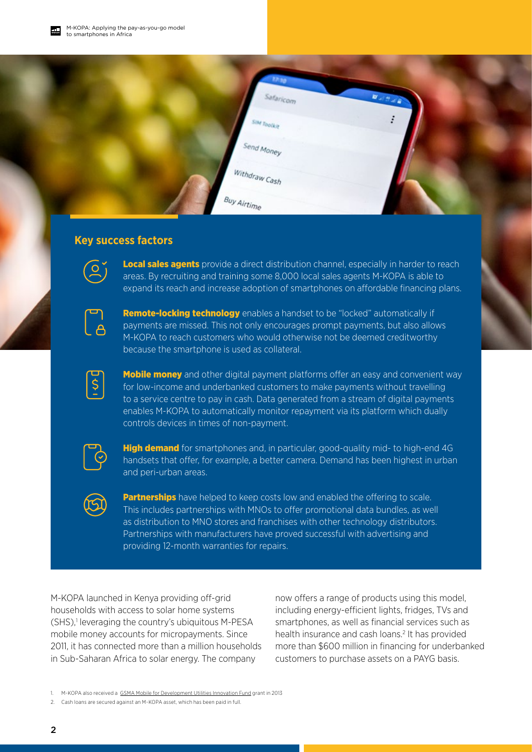

# **Key success factors**



Local sales agents provide a direct distribution channel, especially in harder to reach areas. By recruiting and training some 8,000 local sales agents M-KOPA is able to expand its reach and increase adoption of smartphones on affordable financing plans.



**Remote-locking technology** enables a handset to be "locked" automatically if payments are missed. This not only encourages prompt payments, but also allows M-KOPA to reach customers who would otherwise not be deemed creditworthy because the smartphone is used as collateral.

 $\overline{\xi}$ 

**Mobile money** and other digital payment platforms offer an easy and convenient way for low-income and underbanked customers to make payments without travelling to a service centre to pay in cash. Data generated from a stream of digital payments enables M-KOPA to automatically monitor repayment via its platform which dually controls devices in times of non-payment.



**High demand** for smartphones and, in particular, good-quality mid- to high-end 4G handsets that offer, for example, a better camera. Demand has been highest in urban and peri-urban areas.



**Partnerships** have helped to keep costs low and enabled the offering to scale. This includes partnerships with MNOs to offer promotional data bundles, as well as distribution to MNO stores and franchises with other technology distributors. Partnerships with manufacturers have proved successful with advertising and providing 12-month warranties for repairs.

M-KOPA launched in Kenya providing off-grid households with access to solar home systems (SHS),<sup>1</sup> leveraging the country's ubiquitous M-PESA mobile money accounts for micropayments. Since 2011, it has connected more than a million households in Sub-Saharan Africa to solar energy. The company

now offers a range of products using this model, including energy-efficient lights, fridges, TVs and smartphones, as well as financial services such as health insurance and cash loans.<sup>2</sup> It has provided more than \$600 million in financing for underbanked customers to purchase assets on a PAYG basis.

<sup>1.</sup> M-KOPA also received a [GSMA Mobile for Development Utilities Innovation Fund](https://www.gsma.com/mobilefordevelopment/mgrantee/m-kopa/) grant in 2013

<sup>2.</sup> Cash loans are secured against an M-KOPA asset, which has been paid in full.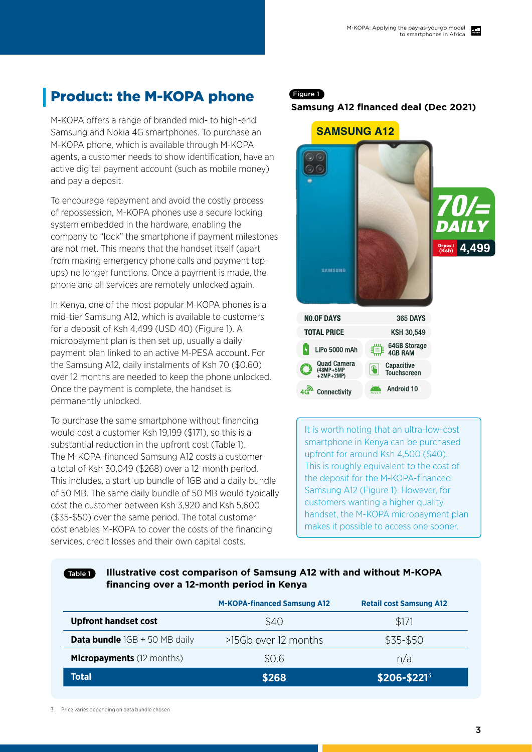# Product: the M-KOPA phone

M-KOPA offers a range of branded mid- to high-end Samsung and Nokia 4G smartphones. To purchase an M-KOPA phone, which is available through M-KOPA agents, a customer needs to show identification, have an active digital payment account (such as mobile money) and pay a deposit.

To encourage repayment and avoid the costly process of repossession, M-KOPA phones use a secure locking system embedded in the hardware, enabling the company to "lock" the smartphone if payment milestones are not met. This means that the handset itself (apart from making emergency phone calls and payment topups) no longer functions. Once a payment is made, the phone and all services are remotely unlocked again.

In Kenya, one of the most popular M-KOPA phones is a mid-tier Samsung A12, which is available to customers for a deposit of Ksh 4,499 (USD 40) (Figure 1). A micropayment plan is then set up, usually a daily payment plan linked to an active M-PESA account. For the Samsung A12, daily instalments of Ksh 70 (\$0.60) over 12 months are needed to keep the phone unlocked. Once the payment is complete, the handset is permanently unlocked.

To purchase the same smartphone without financing would cost a customer Ksh 19,199 (\$171), so this is a substantial reduction in the upfront cost (Table 1). The M-KOPA-financed Samsung A12 costs a customer a total of Ksh 30,049 (\$268) over a 12-month period. This includes, a start-up bundle of 1GB and a daily bundle of 50 MB. The same daily bundle of 50 MB would typically cost the customer between Ksh 3,920 and Ksh 5,600 (\$35-\$50) over the same period. The total customer cost enables M-KOPA to cover the costs of the financing services, credit losses and their own capital costs.

### Figure 1

#### **Samsung A12 financed deal (Dec 2021)**



It is worth noting that an ultra-low-cost smartphone in Kenya can be purchased upfront for around Ksh 4,500 (\$40). This is roughly equivalent to the cost of the deposit for the M-KOPA-financed Samsung A12 (Figure 1). However, for customers wanting a higher quality handset, the M-KOPA micropayment plan makes it possible to access one sooner.

#### Table 1

# **Illustrative cost comparison of Samsung A12 with and without M-KOPA financing over a 12-month period in Kenya**

|                                        | <b>M-KOPA-financed Samsung A12</b> | <b>Retail cost Samsung A12</b> |
|----------------------------------------|------------------------------------|--------------------------------|
| <b>Upfront handset cost</b>            | \$40                               | \$171                          |
| <b>Data bundle</b> $1GB + 50 MB$ daily | >15Gb over 12 months               | \$35-\$50                      |
| <b>Micropayments</b> (12 months)       | \$0.6                              | n/a                            |
| <b>Total</b>                           | \$268                              | $$206 - $221^3$                |

3. Price varies depending on data bundle chosen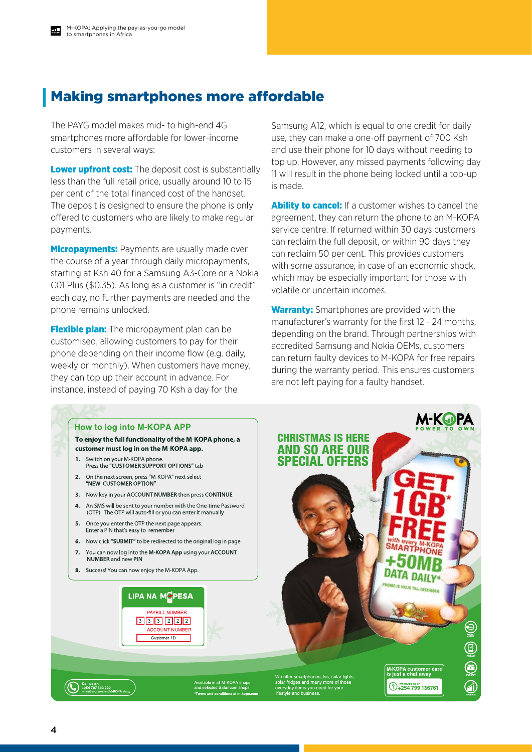# Making smartphones more affordable

The PAYG model makes mid- to high-end 4G smartphones more affordable for lower-income customers in several ways:

**Lower upfront cost:** The deposit cost is substantially less than the full retail price, usually around 10 to 15 per cent of the total financed cost of the handset. The deposit is designed to ensure the phone is only offered to customers who are likely to make regular payments.

**Micropayments:** Payments are usually made over the course of a year through daily micropayments, starting at Ksh 40 for a Samsung A3-Core or a Nokia C01 Plus (\$0.35). As long as a customer is "in credit" each day, no further payments are needed and the phone remains unlocked.

**Flexible plan:** The micropayment plan can be customised, allowing customers to pay for their phone depending on their income flow (e.g. daily, weekly or monthly). When customers have money, they can top up their account in advance. For instance, instead of paying 70 Ksh a day for the

Samsung A12, which is equal to one credit for daily use, they can make a one-off payment of 700 Ksh and use their phone for 10 days without needing to top up. However, any missed payments following day 11 will result in the phone being locked until a top-up is made.

**Ability to cancel:** If a customer wishes to cancel the agreement, they can return the phone to an M-KOPA service centre. If returned within 30 days customers can reclaim the full deposit, or within 90 days they can reclaim 50 per cent. This provides customers with some assurance, in case of an economic shock, which may be especially important for those with volatile or uncertain incomes.

**Warranty:** Smartphones are provided with the manufacturer's warranty for the first 12 - 24 months, depending on the brand. Through partnerships with accredited Samsung and Nokia OEMs, customers can return faulty devices to M-KOPA for free repairs during the warranty period. This ensures customers are not left paying for a faulty handset.

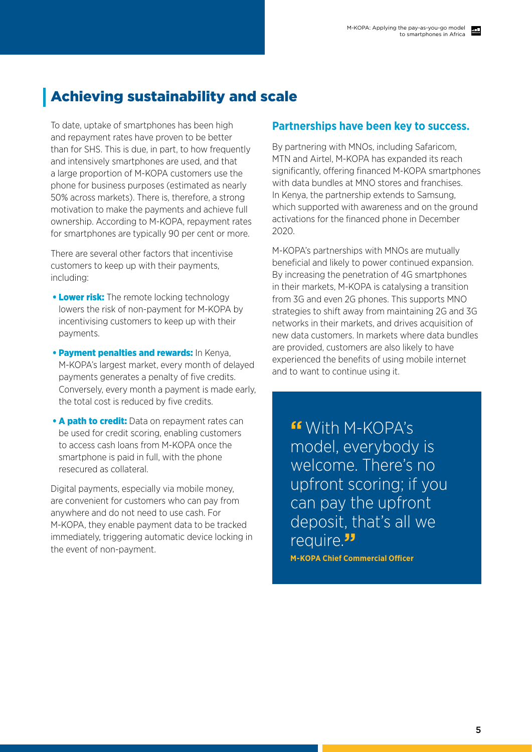# Achieving sustainability and scale

To date, uptake of smartphones has been high and repayment rates have proven to be better than for SHS. This is due, in part, to how frequently and intensively smartphones are used, and that a large proportion of M-KOPA customers use the phone for business purposes (estimated as nearly 50% across markets). There is, therefore, a strong motivation to make the payments and achieve full ownership. According to M-KOPA, repayment rates for smartphones are typically 90 per cent or more.

There are several other factors that incentivise customers to keep up with their payments, including:

- Lower risk: The remote locking technology lowers the risk of non-payment for M-KOPA by incentivising customers to keep up with their payments.
- **Payment penalties and rewards: In Kenya,** M-KOPA's largest market, every month of delayed payments generates a penalty of five credits. Conversely, every month a payment is made early, the total cost is reduced by five credits.
- **A path to credit:** Data on repayment rates can be used for credit scoring, enabling customers to access cash loans from M-KOPA once the smartphone is paid in full, with the phone resecured as collateral.

Digital payments, especially via mobile money, are convenient for customers who can pay from anywhere and do not need to use cash. For M-KOPA, they enable payment data to be tracked immediately, triggering automatic device locking in the event of non-payment.

## **Partnerships have been key to success.**

By partnering with MNOs, including Safaricom, MTN and Airtel, M-KOPA has expanded its reach significantly, offering financed M-KOPA smartphones with data bundles at MNO stores and franchises. In Kenya, the partnership extends to Samsung, which supported with awareness and on the ground activations for the financed phone in December 2020.

M-KOPA's partnerships with MNOs are mutually beneficial and likely to power continued expansion. By increasing the penetration of 4G smartphones in their markets, M-KOPA is catalysing a transition from 3G and even 2G phones. This supports MNO strategies to shift away from maintaining 2G and 3G networks in their markets, and drives acquisition of new data customers. In markets where data bundles are provided, customers are also likely to have experienced the benefits of using mobile internet and to want to continue using it.

**"**With M-KOPA's model, everybody is welcome. There's no upfront scoring; if you can pay the upfront deposit, that's all we require.**"**

**M-KOPA Chief Commercial Officer**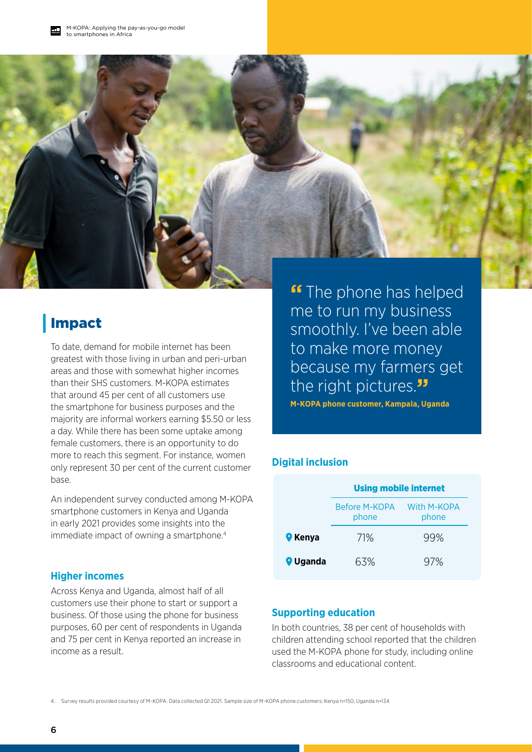

# Impact

To date, demand for mobile internet has been greatest with those living in urban and peri-urban areas and those with somewhat higher incomes than their SHS customers. M-KOPA estimates that around 45 per cent of all customers use the smartphone for business purposes and the majority are informal workers earning \$5.50 or less a day. While there has been some uptake among female customers, there is an opportunity to do more to reach this segment. For instance, women only represent 30 per cent of the current customer base.

An independent survey conducted among M-KOPA smartphone customers in Kenya and Uganda in early 2021 provides some insights into the immediate impact of owning a smartphone.<sup>4</sup>

### **Higher incomes**

Across Kenya and Uganda, almost half of all customers use their phone to start or support a business. Of those using the phone for business purposes, 60 per cent of respondents in Uganda and 75 per cent in Kenya reported an increase in income as a result.

**"** The phone has helped me to run my business smoothly. I've been able to make more money because my farmers get the right pictures.**"**

**M-KOPA phone customer, Kampala, Uganda**

# **Digital inclusion**

|                 | <b>Using mobile internet</b>  |                      |
|-----------------|-------------------------------|----------------------|
|                 | <b>Before M-KOPA</b><br>phone | With M-KOPA<br>phone |
| <b>C</b> Kenya  | 71%                           | 99%                  |
| <b>Q</b> Uganda | 63%                           | 97%                  |

### **Supporting education**

In both countries, 38 per cent of households with children attending school reported that the children used the M-KOPA phone for study, including online classrooms and educational content.

4. Survey results provided courtesy of M-KOPA. Data collected Q1 2021. Sample size of M-KOPA phone customers: Kenya n=150, Uganda n=134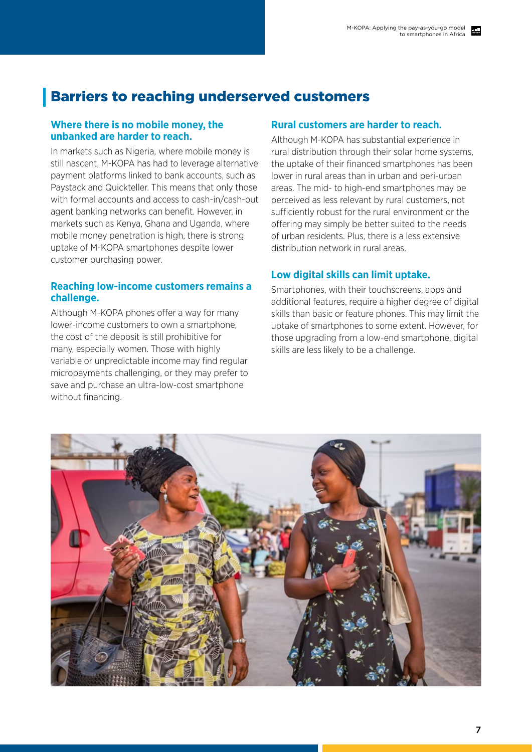# Barriers to reaching underserved customers

### **Where there is no mobile money, the unbanked are harder to reach.**

In markets such as Nigeria, where mobile money is still nascent, M-KOPA has had to leverage alternative payment platforms linked to bank accounts, such as Paystack and Quickteller. This means that only those with formal accounts and access to cash-in/cash-out agent banking networks can benefit. However, in markets such as Kenya, Ghana and Uganda, where mobile money penetration is high, there is strong uptake of M-KOPA smartphones despite lower customer purchasing power.

### **Reaching low-income customers remains a challenge.**

Although M-KOPA phones offer a way for many lower-income customers to own a smartphone, the cost of the deposit is still prohibitive for many, especially women. Those with highly variable or unpredictable income may find regular micropayments challenging, or they may prefer to save and purchase an ultra-low-cost smartphone without financing.

### **Rural customers are harder to reach.**

Although M-KOPA has substantial experience in rural distribution through their solar home systems, the uptake of their financed smartphones has been lower in rural areas than in urban and peri-urban areas. The mid- to high-end smartphones may be perceived as less relevant by rural customers, not sufficiently robust for the rural environment or the offering may simply be better suited to the needs of urban residents. Plus, there is a less extensive distribution network in rural areas.

# **Low digital skills can limit uptake.**

Smartphones, with their touchscreens, apps and additional features, require a higher degree of digital skills than basic or feature phones. This may limit the uptake of smartphones to some extent. However, for those upgrading from a low-end smartphone, digital skills are less likely to be a challenge.